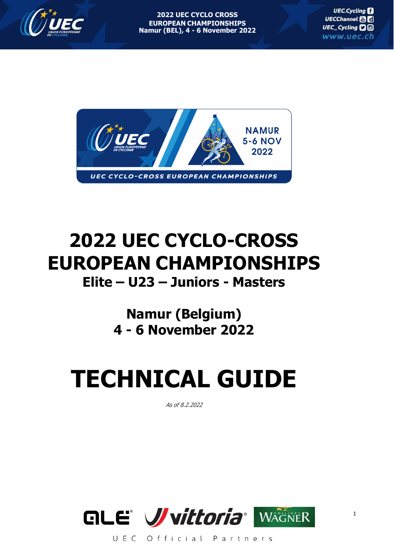



## **2022 UEC CYCLO-CROSS EUROPEAN CHAMPIONSHIPS Elite – U23 – Juniors - Masters**

### **Namur (Belgium) 4 - 6 November 2022**

# **TECHNICAL GUIDE**

As of 8.2.2022

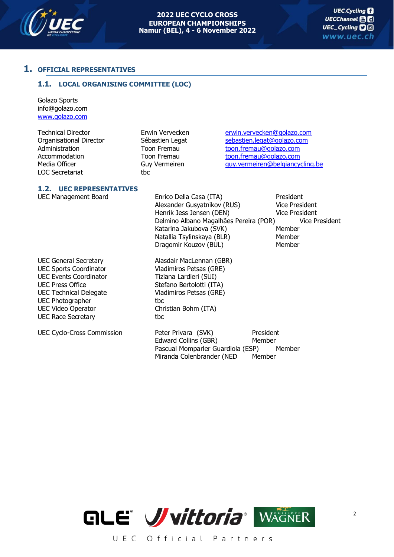

#### **1. OFFICIAL REPRESENTATIVES**

#### **1.1. LOCAL ORGANISING COMMITTEE (LOC)**

Golazo Sports info@golazo.com [www.golazo.com](http://www.golazo.com/)

LOC Secretariat tbc

Technical Director **Erwin Vervecken** [erwin.vervecken@golazo.com](mailto:erwin.vervecken@golazo.com) Organisational Director Sébastien Legat [sebastien.legat@golazo.com](mailto:sebastien.legat@golazo.com) Administration Toon Fremau [toon.fremau@golazo.com](mailto:toon.fremau@golazo.com) Accommodation Toon Fremau [toon.fremau@golazo.com](mailto:toon.fremau@golazo.com) [guy.vermeiren@belgiancycling.be](mailto:guy.vermeiren@belgiancycling.be)

#### **1.2. UEC REPRESENTATIVES**

UEC General Secretary Alasdair MacLennan (GBR) UEC Sports Coordinator Vladimiros Petsas (GRE) UEC Events Coordinator Tiziana Lardieri (SUI) UEC Press Office Stefano Bertolotti (ITA) UEC Technical Delegate Vladimiros Petsas (GRE) UEC Photographer tbc UEC Video Operator Christian Bohm (ITA) UEC Race Secretary tbc

UEC Management Board Enrico Della Casa (ITA) President Alexander Gusyatnikov (RUS) Vice President<br>
Henrik Jess Jensen (DEN) Vice President Henrik Jess Jensen (DEN) Delmino Albano Magalhães Pereira (POR) Vice President Katarina Jakubova (SVK) Member Natallia Tsylinskaya (BLR) Dragomir Kouzov (BUL) Member

UEC Cyclo-Cross Commission Peter Privara (SVK) President Edward Collins (GBR) Member Pascual Momparler Guardiola (ESP) Member Miranda Colenbrander (NED Member

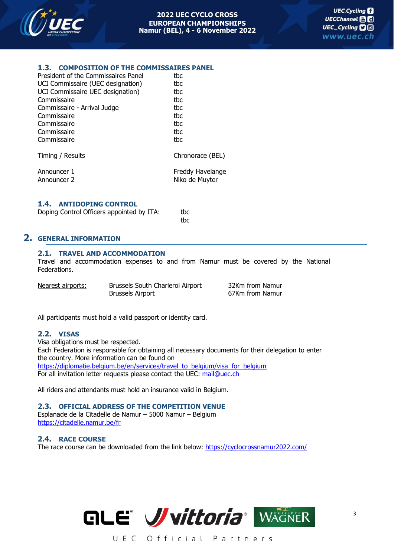

#### **1.3. COMPOSITION OF THE COMMISSAIRES PANEL**

| President of the Commissaires Panel | tbc              |
|-------------------------------------|------------------|
| UCI Commissaire (UEC designation)   | tbc              |
| UCI Commissaire UEC designation)    | tbc              |
| Commissaire                         | tbc              |
| Commissaire - Arrival Judge         | tbc              |
| Commissaire                         | tbc              |
| Commissaire                         | tbc              |
| Commissaire                         | tbc              |
| Commissaire                         | thc              |
|                                     |                  |
| Timing / Results                    | Chronorace (BEL) |
| Announcer 1                         | Freddy Havelange |
| Announcer 2                         | Niko de Muyter   |
|                                     |                  |

#### **1.4. ANTIDOPING CONTROL**

| Doping Control Officers appointed by ITA: |  | tbc |
|-------------------------------------------|--|-----|
|                                           |  |     |

#### **2. GENERAL INFORMATION**

#### **2.1. TRAVEL AND ACCOMMODATION**

Travel and accommodation expenses to and from Namur must be covered by the National Federations.

tbc

| Nearest airports: | Brussels South Charleroi Airport | 32Km from Namur |
|-------------------|----------------------------------|-----------------|
|                   | <b>Brussels Airport</b>          | 67Km from Namur |

All participants must hold a valid passport or identity card.

#### **2.2. VISAS**

Visa obligations must be respected.

Each Federation is responsible for obtaining all necessary documents for their delegation to enter the country. More information can be found on [https://diplomatie.belgium.be/en/services/travel\\_to\\_belgium/visa\\_for\\_belgium](https://diplomatie.belgium.be/en/services/travel_to_belgium/visa_for_belgium) For all invitation letter requests please contact the UEC: [mail@uec.ch](mailto:mail@uec.ch)

All riders and attendants must hold an insurance valid in Belgium.

#### **2.3. OFFICIAL ADDRESS OF THE COMPETITION VENUE**

Esplanade de la Citadelle de Namur – 5000 Namur – Belgium <https://citadelle.namur.be/fr>

#### **2.4. RACE COURSE**

The race course can be downloaded from the link below: <https://cyclocrossnamur2022.com/>

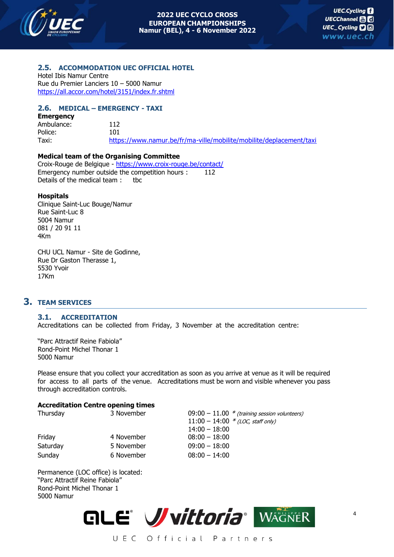

4

#### **2.5. ACCOMMODATION UEC OFFICIAL HOTEL**

Hotel Ibis Namur Centre Rue du Premier Lanciers 10 – 5000 Namur <https://all.accor.com/hotel/3151/index.fr.shtml>

#### **2.6. MEDICAL – EMERGENCY - TAXI**

| <b>Emergency</b> |                                                                     |
|------------------|---------------------------------------------------------------------|
| Ambulance:       | 112                                                                 |
| Police:          | 101.                                                                |
| Taxi:            | https://www.namur.be/fr/ma-ville/mobilite/mobilite/deplacement/taxi |

#### **Medical team of the Organising Committee**

Croix-Rouge de Belgique - <https://www.croix-rouge.be/contact/> Emergency number outside the competition hours : 112 Details of the medical team: tbc

#### **Hospitals**

Clinique Saint-Luc Bouge/Namur Rue Saint-Luc 8 5004 Namur 081 / 20 91 11 4Km

CHU UCL Namur - Site de Godinne, Rue Dr Gaston Therasse 1, 5530 Yvoir 17Km

#### **3. TEAM SERVICES**

#### **3.1. ACCREDITATION**

Accreditations can be collected from Friday, 3 November at the accreditation centre:

"Parc Attractif Reine Fabiola" Rond-Point Michel Thonar 1 5000 Namur

Please ensure that you collect your accreditation as soon as you arrive at venue as it will be required for access to all parts of the venue. Accreditations must be worn and visible whenever you pass through accreditation controls.

#### **Accreditation Centre opening times**

| Thursday | 3 November | $09:00 - 11.00$ * (training session volunteers) |
|----------|------------|-------------------------------------------------|
|          |            | $11:00 - 14:00 * (LOC, staff only)$             |
|          |            | $14:00 - 18:00$                                 |
| Friday   | 4 November | $08:00 - 18:00$                                 |
| Saturday | 5 November | $09:00 - 18:00$                                 |
| Sunday   | 6 November | $08:00 - 14:00$                                 |
|          |            |                                                 |

Permanence (LOC office) is located: "Parc Attractif Reine Fabiola" Rond-Point Michel Thonar 1 5000 Namur

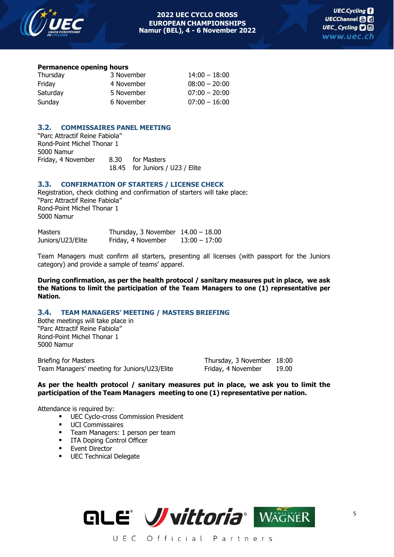

#### **Permanence opening hours**

| Thursday | 3 November | $14:00 - 18:00$ |
|----------|------------|-----------------|
| Friday   | 4 November | $08:00 - 20:00$ |
| Saturday | 5 November | $07:00 - 20:00$ |
| Sunday   | 6 November | $07:00 - 16:00$ |

#### **3.2. COMMISSAIRES PANEL MEETING**

"Parc Attractif Reine Fabiola" Rond-Point Michel Thonar 1 5000 Namur Friday, 4 November 8.30 for Masters 18.45 for Juniors / U23 / Elite

#### **3.3. CONFIRMATION OF STARTERS / LICENSE CHECK**

Registration, check clothing and confirmation of starters will take place: "Parc Attractif Reine Fabiola" Rond-Point Michel Thonar 1 5000 Namur

| Masters           | Thursday, 3 November $14.00 - 18.00$ |                 |
|-------------------|--------------------------------------|-----------------|
| Juniors/U23/Elite | Friday, 4 November                   | $13:00 - 17:00$ |

Team Managers must confirm all starters, presenting all licenses (with passport for the Juniors category) and provide a sample of teams' apparel.

**During confirmation, as per the health protocol / sanitary measures put in place, we ask the Nations to limit the participation of the Team Managers to one (1) representative per Nation.**

#### **3.4. TEAM MANAGERS' MEETING / MASTERS BRIEFING**

Bothe meetings will take place in "Parc Attractif Reine Fabiola" Rond-Point Michel Thonar 1 5000 Namur

Briefing for Masters Thursday, 3 November 18:00 Team Managers' meeting for Juniors/U23/Elite Friday, 4 November 19.00

**As per the health protocol / sanitary measures put in place, we ask you to limit the participation of the Team Managers meeting to one (1) representative per nation.**

Attendance is required by:

- **■** UEC Cyclo-cross Commission President
- **■** UCI Commissaires
- **E** Team Managers: 1 person per team
- **■** ITA Doping Control Officer
- Event Director
- **■** UEC Technical Delegate

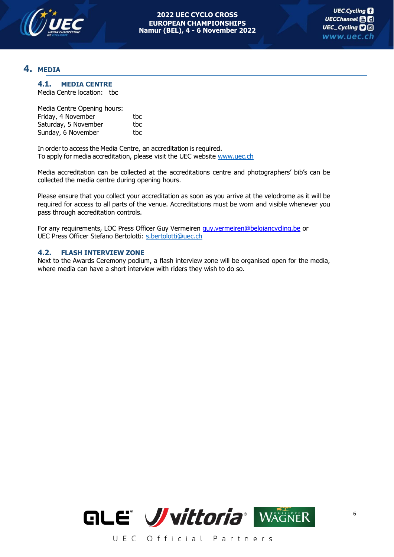

#### **4. MEDIA**

#### **4.1. MEDIA CENTRE**

Media Centre location: tbc

| Media Centre Opening hours: |     |
|-----------------------------|-----|
| Friday, 4 November          | thc |
| Saturday, 5 November        | thc |
| Sunday, 6 November          | thc |

In order to access the Media Centre, an accreditation is required. To apply for media accreditation, please visit the UEC website [www.uec.ch](http://www.uec.ch/)

Media accreditation can be collected at the accreditations centre and photographers' bib's can be collected the media centre during opening hours.

Please ensure that you collect your accreditation as soon as you arrive at the velodrome as it will be required for access to all parts of the venue. Accreditations must be worn and visible whenever you pass through accreditation controls.

For any requirements, LOC Press Officer Guy Vermeiren [guy.vermeiren@belgiancycling.be](mailto:guy.vermeiren@belgiancycling.be) or UEC Press Officer Stefano Bertolotti: [s.bertolotti@uec.ch](mailto:s.bertolotti@uec.ch)

#### **4.2. FLASH INTERVIEW ZONE**

Next to the Awards Ceremony podium, a flash interview zone will be organised open for the media, where media can have a short interview with riders they wish to do so.

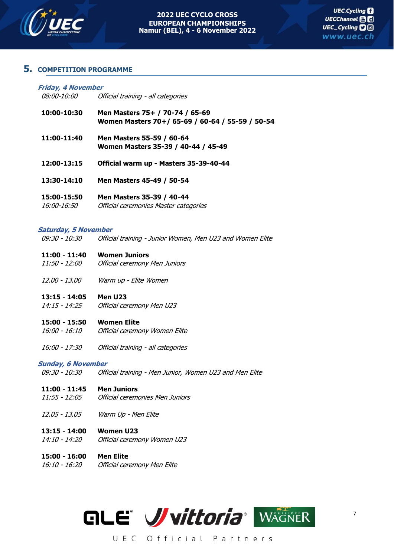

#### **5. COMPETITION PROGRAMME**

| Friday, 4 November<br><i>08:00-10:00</i> | Official training - all categories                                                  |
|------------------------------------------|-------------------------------------------------------------------------------------|
| 10:00-10:30                              | Men Masters 75+ / 70-74 / 65-69<br>Women Masters 70+/ 65-69 / 60-64 / 55-59 / 50-54 |

- **11:00-11:40 Men Masters 55-59 / 60-64 Women Masters 35-39 / 40-44 / 45-49**
- **12:00-13:15 Official warm up - Masters 35-39-40-44**
- **13:30-14:10 Men Masters 45-49 / 50-54**
- **15:00-15:50 Men Masters 35-39 / 40-44** 16:00-16:50 Official ceremonies Master categories

#### **Saturday, 5 November**

09:30 - 10:30 Official training - Junior Women, Men U23 and Women Elite

- **11:00 - 11:40 Women Juniors**
- 11:50 12:00 Official ceremony Men Juniors
- 12.00 13.00 Warm up Elite Women

#### **13:15 - 14:05 Men U23**

14:15 - 14:25 Official ceremony Men U23

#### **15:00 - 15:50 Women Elite**

- 16:00 16:10 Official ceremony Women Elite
- 16:00 17:30 Official training all categories

#### **Sunday, 6 November**

09:30 - 10:30 Official training - Men Junior, Women U23 and Men Elite

#### **11:00 - 11:45 Men Juniors**

- 11:55 12:05 Official ceremonies Men Juniors
- 12.05 13.05 Warm Up Men Elite

#### **13:15 - 14:00 Women U23**

14:10 - 14:20 Official ceremony Women U23

#### **15:00 - 16:00 Men Elite**

16:10 - 16:20 Official ceremony Men Elite

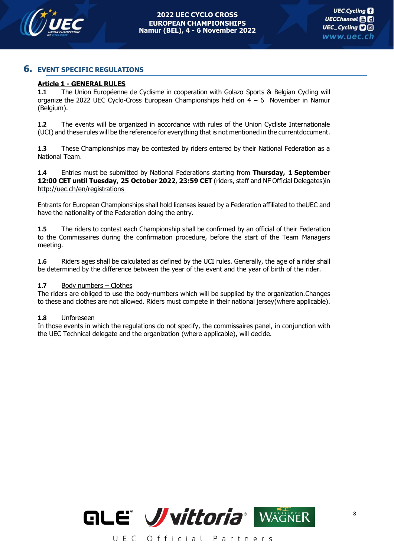

#### **6. EVENT SPECIFIC REGULATIONS**

#### **Article 1 - GENERAL RULES**

**1.1** The Union Européenne de Cyclisme in cooperation with Golazo Sports & Belgian Cycling will organize the 2022 UEC Cyclo-Cross European Championships held on  $4 - 6$  November in Namur (Belgium).

**1.2** The events will be organized in accordance with rules of the Union Cycliste Internationale (UCI) and these rules will be the reference for everything that is not mentioned in the currentdocument.

**1.3** These Championships may be contested by riders entered by their National Federation as a National Team.

**1.4** Entries must be submitted by National Federations starting from **Thursday, 1 September 12:00 CET until Tuesday, 25 October 2022, 23:59 CET** (riders, staff and NF Official Delegates)in <http://uec.ch/en/registrations>

Entrants for European Championships shall hold licenses issued by a Federation affiliated to theUEC and have the nationality of the Federation doing the entry.

**1.5** The riders to contest each Championship shall be confirmed by an official of their Federation to the Commissaires during the confirmation procedure, before the start of the Team Managers meeting.

**1.6** Riders ages shall be calculated as defined by the UCI rules. Generally, the age of a rider shall be determined by the difference between the year of the event and the year of birth of the rider.

#### 1.7 Body numbers – Clothes

The riders are obliged to use the body-numbers which will be supplied by the organization.Changes to these and clothes are not allowed. Riders must compete in their national jersey(where applicable).

#### **1.8** Unforeseen

In those events in which the regulations do not specify, the commissaires panel, in conjunction with the UEC Technical delegate and the organization (where applicable), will decide.

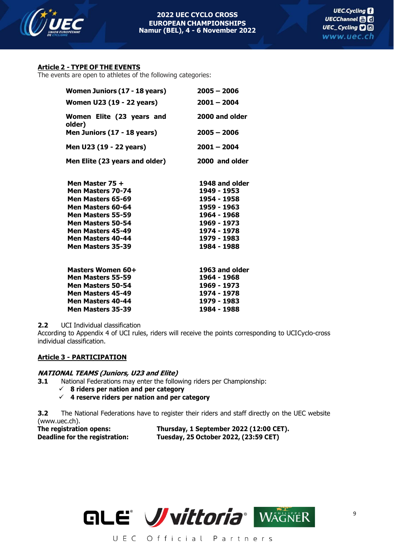

#### **Article 2 - TYPE OF THE EVENTS**

The events are open to athletes of the following categories:

| Women Juniors (17 - 18 years)       | $2005 - 2006$  |
|-------------------------------------|----------------|
| Women U23 (19 - 22 years)           | $2001 - 2004$  |
| Women Elite (23 years and<br>older) | 2000 and older |
| Men Juniors (17 - 18 years)         | $2005 - 2006$  |
| Men U23 (19 - 22 years)             | $2001 - 2004$  |
| Men Elite (23 years and older)      | 2000 and older |
| Men Master 75 +                     | 1948 and older |
| Men Masters 70-74                   | 1949 - 1953    |
| Men Masters 65-69                   | 1954 - 1958    |
| Men Masters 60-64                   | 1959 - 1963    |
| Men Masters 55-59                   | 1964 - 1968    |
| Men Masters 50-54                   | 1969 - 1973    |
| Men Masters 45-49                   | 1974 - 1978    |
| Men Masters 40-44                   | 1979 - 1983    |
| Men Masters 35-39                   | 1984 - 1988    |
| Masters Women 60+                   | 1963 and older |
| Men Masters 55-59                   | 1964 - 1968    |
| Men Masters 50-54                   | 1969 - 1973    |
| Men Masters 45-49                   | 1974 - 1978    |
| Men Masters 40-44                   | 1979 - 1983    |
| Men Masters 35-39                   | 1984 - 1988    |

**2.2** UCI Individual classification

According to Appendix 4 of UCI rules, riders will receive the points corresponding to UCICyclo-cross individual classification.

#### **Article 3 - PARTICIPATION**

#### **NATIONAL TEAMS (Juniors, U23 and Elite)**

**3.1** National Federations may enter the following riders per Championship:

- ✓ **8 riders per nation and per category**
- ✓ **4 reserve riders per nation and per category**

**3.2** The National Federations have to register their riders and staff directly on the UEC website (www.uec.ch).

**The registration opens: Thursday, 1 September 2022 (12:00 CET). Deadline for the registration: Tuesday, 25 October 2022, (23:59 CET)**

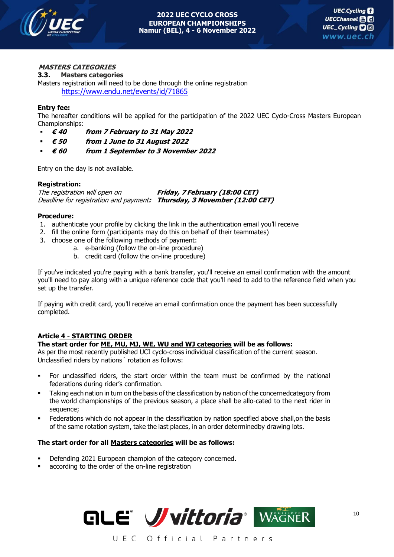

#### **MASTERS CATEGORIES**

#### **3.3. Masters categories**

Masters registration will need to be done through the online registration <https://www.endu.net/events/id/71865>

#### **Entry fee:**

The hereafter conditions will be applied for the participation of the 2022 UEC Cyclo-Cross Masters European Championships:

- **€ 40 from 7 February to 31 May 2022**
- **€ 50 from 1 June to 31 August 2022**
- **€ 60 from 1 September to 3 November 2022**

Entry on the day is not available.

#### **Registration:**

The registration will open on **Friday, 7 February (18:00 CET)** Deadline for registration and payment**: Thursday, 3 November (12:00 CET)**

#### **Procedure:**

- 1. authenticate your profile by clicking the link in the authentication email you'll receive
- 2. fill the online form (participants may do this on behalf of their teammates)
- 3. choose one of the following methods of payment:
	- a. e-banking (follow the on-line procedure)
		- b. credit card (follow the on-line procedure)

If you've indicated you're paying with a bank transfer, you'll receive an email confirmation with the amount you'll need to pay along with a unique reference code that you'll need to add to the reference field when you set up the transfer.

If paying with credit card, you'll receive an email confirmation once the payment has been successfully completed.

#### **Article 4 - STARTING ORDER**

#### **The start order for ME, MU, MJ, WE, WU and WJ categories will be as follows:**

As per the most recently published UCI cyclo-cross individual classification of the current season. Unclassified riders by nations´ rotation as follows:

- For unclassified riders, the start order within the team must be confirmed by the national federations during rider's confirmation.
- **•** Taking each nation in turn on the basis of the classification by nation of the concernedcategory from the world championships of the previous season, a place shall be allo-cated to the next rider in sequence;
- Federations which do not appear in the classification by nation specified above shall, on the basis of the same rotation system, take the last places, in an order determinedby drawing lots.

#### **The start order for all Masters categories will be as follows:**

- Defending 2021 European champion of the category concerned.
- according to the order of the on-line registration

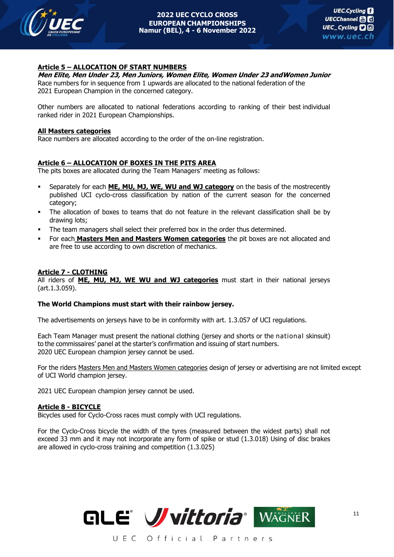

#### **Article 5 – ALLOCATION OF START NUMBERS**

#### **Men Elite, Men Under 23, Men Juniors, Women Elite, Women Under 23 andWomen Junior**

Race numbers for in sequence from 1 upwards are allocated to the national federation of the 2021 European Champion in the concerned category.

Other numbers are allocated to national federations according to ranking of their best individual ranked rider in 2021 European Championships.

#### **All Masters categories**

Race numbers are allocated according to the order of the on-line registration.

#### **Article 6 – ALLOCATION OF BOXES IN THE PITS AREA**

The pits boxes are allocated during the Team Managers' meeting as follows:

- Separately for each **ME, MU, MJ, WE, WU and WJ category** on the basis of the mostrecently published UCI cyclo-cross classification by nation of the current season for the concerned category;
- The allocation of boxes to teams that do not feature in the relevant classification shall be by drawing lots;
- **•** The team managers shall select their preferred box in the order thus determined.
- **For each Masters Men and Masters Women categories** the pit boxes are not allocated and are free to use according to own discretion of mechanics.

#### **Article 7 - CLOTHING**

All riders of **ME, MU, MJ, WE WU and WJ categories** must start in their national jerseys (art.1.3.059).

#### **The World Champions must start with their rainbow jersey.**

The advertisements on jerseys have to be in conformity with art. 1.3.057 of UCI regulations.

Each Team Manager must present the national clothing (jersey and shorts or the national skinsuit) to the commissaires' panel at the starter's confirmation and issuing of start numbers. 2020 UEC European champion jersey cannot be used.

For the riders Masters Men and Masters Women categories design of jersey or advertising are not limited except of UCI World champion jersey.

2021 UEC European champion jersey cannot be used.

#### **Article 8 - BICYCLE**

Bicycles used for Cyclo-Cross races must comply with UCI regulations.

For the Cyclo-Cross bicycle the width of the tyres (measured between the widest parts) shall not exceed 33 mm and it may not incorporate any form of spike or stud (1.3.018) Using of disc brakes are allowed in cyclo-cross training and competition (1.3.025)